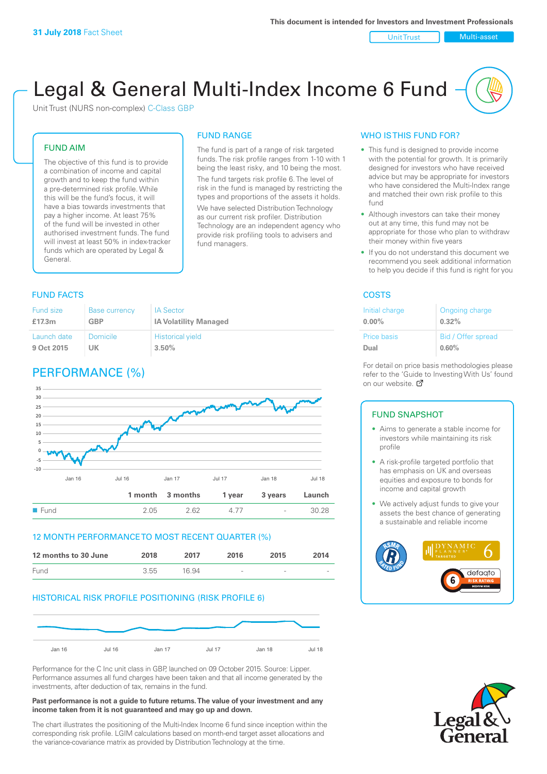Unit Trust Nulti-asset

# Legal & General Multi-Index Income 6 Fund

Unit Trust (NURS non-complex) C-Class GBP

#### FUND AIM

The objective of this fund is to provide a combination of income and capital growth and to keep the fund within a pre-determined risk profile. While this will be the fund's focus, it will have a bias towards investments that pay a higher income. At least 75% of the fund will be invested in other authorised investment funds. The fund will invest at least 50% in index-tracker funds which are operated by Legal & General.

## FUND RANGE

The fund is part of a range of risk targeted funds. The risk profile ranges from 1-10 with 1 being the least risky, and 10 being the most. The fund targets risk profile 6. The level of risk in the fund is managed by restricting the

types and proportions of the assets it holds. We have selected Distribution Technology as our current risk profiler. Distribution Technology are an independent agency who provide risk profiling tools to advisers and fund managers.

#### **FUND FACTS** COSTS

| <b>Fund size</b> | <b>Base currency</b> | <b>IA Sector</b>             |
|------------------|----------------------|------------------------------|
| £17.3m           | <b>GBP</b>           | <b>IA Volatility Managed</b> |
| Launch date      | Domicile             | <b>Historical yield</b>      |
| 9 Oct 2015       | UK                   | 3.50%                        |

### PERFORMANCE (%)



#### 12 MONTH PERFORMANCE TO MOST RECENT QUARTER (%)

| 12 months to 30 June | 2018 | 2017  | 2016   | 2015   | 2014                     |
|----------------------|------|-------|--------|--------|--------------------------|
| Fund                 | 3.55 | 16.94 | $\sim$ | $\sim$ | $\overline{\phantom{a}}$ |

#### HISTORICAL RISK PROFILE POSITIONING (RISK PROFILE 6)



Performance for the C Inc unit class in GBP, launched on 09 October 2015. Source: Lipper. Performance assumes all fund charges have been taken and that all income generated by the investments, after deduction of tax, remains in the fund.

#### **Past performance is not a guide to future returns. The value of your investment and any income taken from it is not guaranteed and may go up and down.**

The chart illustrates the positioning of the Multi-Index Income 6 fund since inception within the corresponding risk profile. LGIM calculations based on month-end target asset allocations and the variance-covariance matrix as provided by Distribution Technology at the time.

#### WHO IS THIS FUND FOR?

- This fund is designed to provide income with the potential for growth. It is primarily designed for investors who have received advice but may be appropriate for investors who have considered the Multi-Index range and matched their own risk profile to this fund
- Although investors can take their money out at any time, this fund may not be appropriate for those who plan to withdraw their money within five years
- If you do not understand this document we recommend you seek additional information to help you decide if this fund is right for you

| Initial charge | Ongoing charge     |
|----------------|--------------------|
| $0.00\%$       | 0.32%              |
| Price basis    | Bid / Offer spread |
| Dual           | 0.60%              |

For detail on price basis methodologies please refer to the 'Gu[ide t](http://www.legalandgeneral.com/guide)o Investing With Us' found on our website. Ø

#### FUND SNAPSHOT

- Aims to generate a stable income for investors while maintaining its risk profile
- A risk-profile targeted portfolio that has emphasis on UK and overseas equities and exposure to bonds for income and capital growth
- We actively adjust funds to give your assets the best chance of generating a sustainable and reliable income



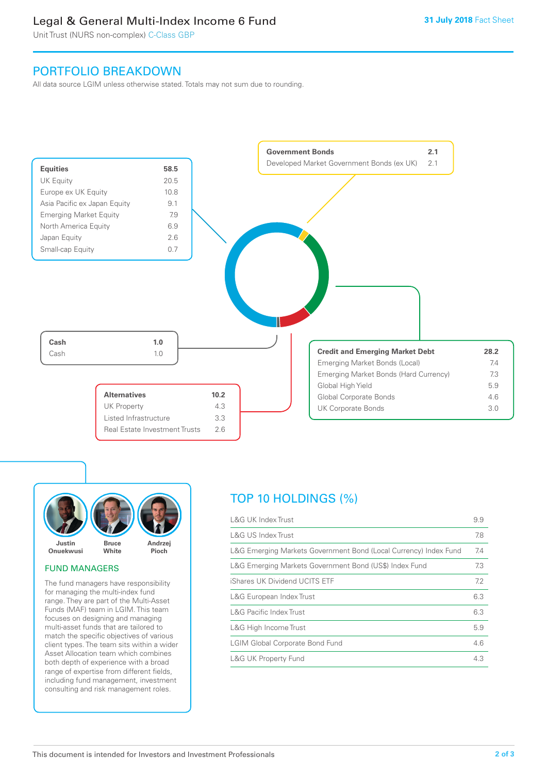### Legal & General Multi-Index Income 6 Fund

Unit Trust (NURS non-complex) C-Class GBP

### PORTFOLIO BREAKDOWN

All data source LGIM unless otherwise stated. Totals may not sum due to rounding.





#### FUND MANAGERS

The fund managers have responsibility for managing the multi-index fund range. They are part of the Multi-Asset Funds (MAF) team in LGIM. This team focuses on designing and managing multi-asset funds that are tailored to match the specific objectives of various client types. The team sits within a wider Asset Allocation team which combines both depth of experience with a broad range of expertise from different fields, including fund management, investment consulting and risk management roles.

### TOP 10 HOLDINGS (%)

| <b>L&amp;G UK Index Trust</b>                                    | 9.9 |
|------------------------------------------------------------------|-----|
| <b>L&amp;G US Index Trust</b>                                    | 7.8 |
| L&G Emerging Markets Government Bond (Local Currency) Index Fund | 7.4 |
| L&G Emerging Markets Government Bond (US\$) Index Fund           | 7.3 |
| iShares UK Dividend UCITS ETF                                    | 7.2 |
| L&G European Index Trust                                         | 6.3 |
| <b>L&amp;G Pacific Index Trust</b>                               | 6.3 |
| L&G High Income Trust                                            | 5.9 |
| <b>LGIM Global Corporate Bond Fund</b>                           | 4.6 |
| <b>L&amp;G UK Property Fund</b>                                  | 4.3 |